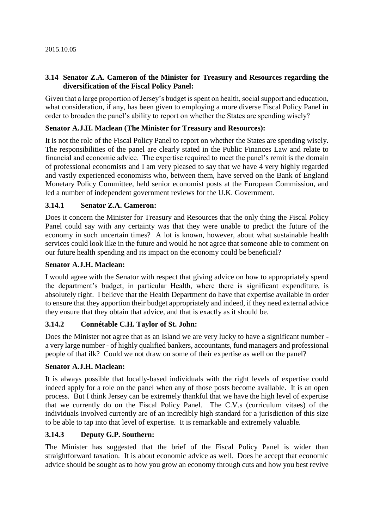### **3.14 Senator Z.A. Cameron of the Minister for Treasury and Resources regarding the diversification of the Fiscal Policy Panel:**

Given that a large proportion of Jersey's budget is spent on health, social support and education, what consideration, if any, has been given to employing a more diverse Fiscal Policy Panel in order to broaden the panel's ability to report on whether the States are spending wisely?

### **Senator A.J.H. Maclean (The Minister for Treasury and Resources):**

It is not the role of the Fiscal Policy Panel to report on whether the States are spending wisely. The responsibilities of the panel are clearly stated in the Public Finances Law and relate to financial and economic advice. The expertise required to meet the panel's remit is the domain of professional economists and I am very pleased to say that we have 4 very highly regarded and vastly experienced economists who, between them, have served on the Bank of England Monetary Policy Committee, held senior economist posts at the European Commission, and led a number of independent government reviews for the U.K. Government.

## **3.14.1 Senator Z.A. Cameron:**

Does it concern the Minister for Treasury and Resources that the only thing the Fiscal Policy Panel could say with any certainty was that they were unable to predict the future of the economy in such uncertain times? A lot is known, however, about what sustainable health services could look like in the future and would he not agree that someone able to comment on our future health spending and its impact on the economy could be beneficial?

#### **Senator A.J.H. Maclean:**

I would agree with the Senator with respect that giving advice on how to appropriately spend the department's budget, in particular Health, where there is significant expenditure, is absolutely right. I believe that the Health Department do have that expertise available in order to ensure that they apportion their budget appropriately and indeed, if they need external advice they ensure that they obtain that advice, and that is exactly as it should be.

### **3.14.2 Connétable C.H. Taylor of St. John:**

Does the Minister not agree that as an Island we are very lucky to have a significant number a very large number - of highly qualified bankers, accountants, fund managers and professional people of that ilk? Could we not draw on some of their expertise as well on the panel?

### **Senator A.J.H. Maclean:**

It is always possible that locally-based individuals with the right levels of expertise could indeed apply for a role on the panel when any of those posts become available. It is an open process. But I think Jersey can be extremely thankful that we have the high level of expertise that we currently do on the Fiscal Policy Panel. The C.V.s (curriculum vitaes) of the individuals involved currently are of an incredibly high standard for a jurisdiction of this size to be able to tap into that level of expertise. It is remarkable and extremely valuable.

### **3.14.3 Deputy G.P. Southern:**

The Minister has suggested that the brief of the Fiscal Policy Panel is wider than straightforward taxation. It is about economic advice as well. Does he accept that economic advice should be sought as to how you grow an economy through cuts and how you best revive